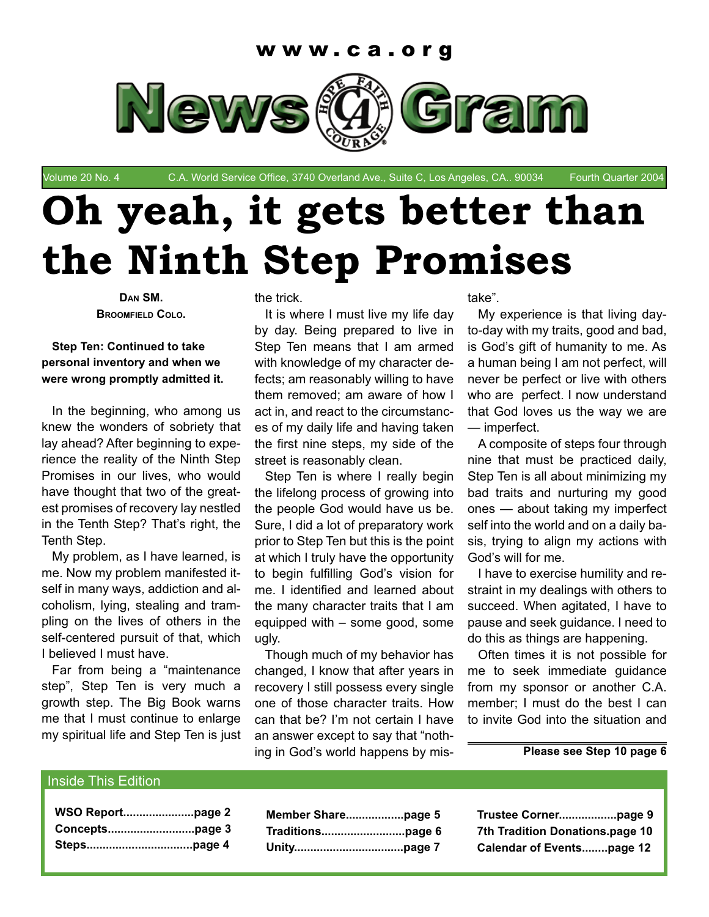

Volume 20 No. 4 C.A. World Service Office, 3740 Overland Ave., Suite C, Los Angeles, CA.. 90034 Fourth Quarter 2004

# **Oh yeah, it gets better than the Ninth Step Promises**

**DAN SM. BROOMFIELD COLO.**

#### **Step Ten: Continued to take personal inventory and when we were wrong promptly admitted it.**

In the beginning, who among us knew the wonders of sobriety that lay ahead? After beginning to experience the reality of the Ninth Step Promises in our lives, who would have thought that two of the greatest promises of recovery lay nestled in the Tenth Step? That's right, the Tenth Step.

My problem, as I have learned, is me. Now my problem manifested itself in many ways, addiction and alcoholism, lying, stealing and trampling on the lives of others in the self-centered pursuit of that, which I believed I must have.

Far from being a "maintenance step", Step Ten is very much a growth step. The Big Book warns me that I must continue to enlarge my spiritual life and Step Ten is just the trick.

It is where I must live my life day by day. Being prepared to live in Step Ten means that I am armed with knowledge of my character defects; am reasonably willing to have them removed; am aware of how I act in, and react to the circumstances of my daily life and having taken the first nine steps, my side of the street is reasonably clean.

Step Ten is where I really begin the lifelong process of growing into the people God would have us be. Sure, I did a lot of preparatory work prior to Step Ten but this is the point at which I truly have the opportunity to begin fulfilling God's vision for me. I identified and learned about the many character traits that I am equipped with – some good, some ugly.

Though much of my behavior has changed, I know that after years in recovery I still possess every single one of those character traits. How can that be? I'm not certain I have an answer except to say that "nothing in God's world happens by mistake".

My experience is that living dayto-day with my traits, good and bad, is God's gift of humanity to me. As a human being I am not perfect, will never be perfect or live with others who are perfect. I now understand that God loves us the way we are — imperfect.

A composite of steps four through nine that must be practiced daily, Step Ten is all about minimizing my bad traits and nurturing my good ones — about taking my imperfect self into the world and on a daily basis, trying to align my actions with God's will for me.

I have to exercise humility and restraint in my dealings with others to succeed. When agitated, I have to pause and seek guidance. I need to do this as things are happening.

Often times it is not possible for me to seek immediate guidance from my sponsor or another C.A. member; I must do the best I can to invite God into the situation and

**Please see Step 10 page 6**

#### Inside This Edition

**Trustee Corner..................page 9 7th Tradition Donations.page 10 Calendar of Events........page 12**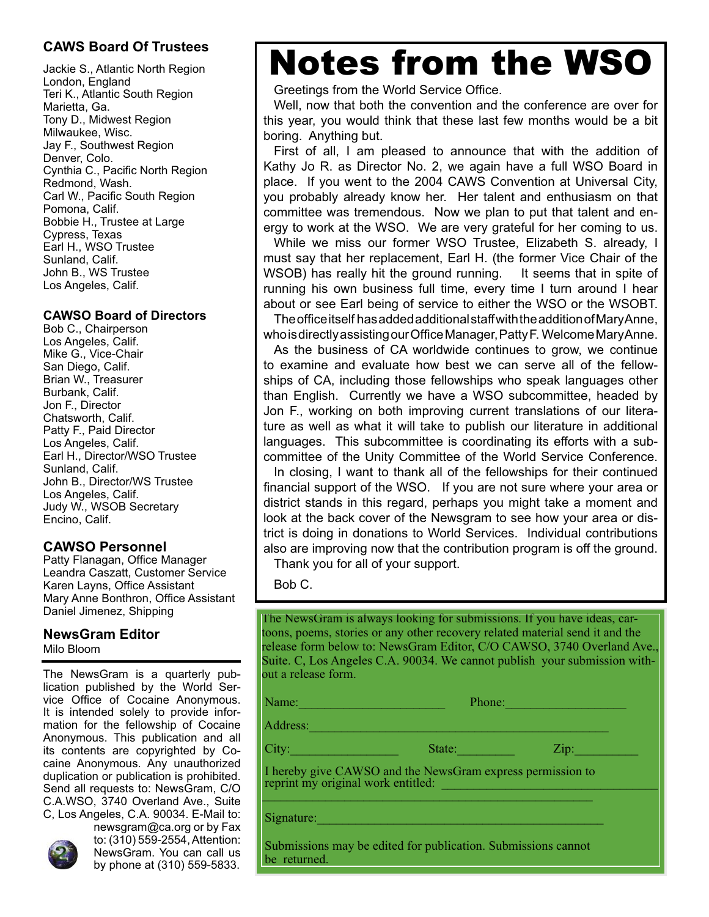### **CAWS Board Of Trustees**

Jackie S., Atlantic North Region London, England Teri K., Atlantic South Region Marietta, Ga. Tony D., Midwest Region Milwaukee, Wisc. Jay F., Southwest Region Denver, Colo. Cynthia C., Pacific North Region Redmond, Wash. Carl W., Pacific South Region Pomona, Calif. Bobbie H., Trustee at Large Cypress, Texas Earl H., WSO Trustee Sunland, Calif. John B., WS Trustee Los Angeles, Calif.

#### **CAWSO Board of Directors**

Bob C., Chairperson Los Angeles, Calif. Mike G., Vice-Chair San Diego, Calif. Brian W., Treasurer Burbank, Calif. Jon F., Director Chatsworth, Calif. Patty F., Paid Director Los Angeles, Calif. Earl H., Director/WSO Trustee Sunland, Calif. John B., Director/WS Trustee Los Angeles, Calif. Judy W., WSOB Secretary Encino, Calif.

### **CAWSO Personnel**

Patty Flanagan, Office Manager Leandra Caszatt, Customer Service Karen Layns, Office Assistant Mary Anne Bonthron, Office Assistant Daniel Jimenez, Shipping

### **NewsGram Editor**

Milo Bloom

The NewsGram is a quarterly publication published by the World Service Office of Cocaine Anonymous. It is intended solely to provide information for the fellowship of Cocaine Anonymous. This publication and all its contents are copyrighted by Cocaine Anonymous. Any unauthorized duplication or publication is prohibited. Send all requests to: NewsGram, C/O C.A.WSO, 3740 Overland Ave., Suite C, Los Angeles, C.A. 90034. E-Mail to:



newsgram@ca.org or by Fax to: (310) 559-2554, Attention: NewsGram. You can call us by phone at (310) 559-5833.

### Notes from the WSO

Greetings from the World Service Office.

Well, now that both the convention and the conference are over for this year, you would think that these last few months would be a bit boring. Anything but.

First of all, I am pleased to announce that with the addition of Kathy Jo R. as Director No. 2, we again have a full WSO Board in place. If you went to the 2004 CAWS Convention at Universal City, you probably already know her. Her talent and enthusiasm on that committee was tremendous. Now we plan to put that talent and energy to work at the WSO. We are very grateful for her coming to us.

While we miss our former WSO Trustee, Elizabeth S. already, I must say that her replacement, Earl H. (the former Vice Chair of the WSOB) has really hit the ground running. It seems that in spite of running his own business full time, every time I turn around I hear about or see Earl being of service to either the WSO or the WSOBT.

The office itself has added additional staff with the addition of Mary Anne, who is directly assisting our Office Manager, Patty F. Welcome Mary Anne.

As the business of CA worldwide continues to grow, we continue to examine and evaluate how best we can serve all of the fellowships of CA, including those fellowships who speak languages other than English. Currently we have a WSO subcommittee, headed by Jon F., working on both improving current translations of our literature as well as what it will take to publish our literature in additional languages. This subcommittee is coordinating its efforts with a subcommittee of the Unity Committee of the World Service Conference.

In closing, I want to thank all of the fellowships for their continued financial support of the WSO. If you are not sure where your area or district stands in this regard, perhaps you might take a moment and look at the back cover of the Newsgram to see how your area or district is doing in donations to World Services. Individual contributions also are improving now that the contribution program is off the ground. Thank you for all of your support.

Bob C.

The NewsGram is always looking for submissions. If you have ideas, cartoons, poems, stories or any other recovery related material send it and the release form below to: NewsGram Editor, C/O CAWSO, 3740 Overland Ave., Suite. C, Los Angeles C.A. 90034. We cannot publish your submission without a release form.

Name: The Contract of the Contract of the Phone: Address:

City:\_\_\_\_\_\_\_\_\_\_\_\_\_\_\_\_\_ State:\_\_\_\_\_\_\_\_\_ Zip:\_\_\_\_\_\_\_\_\_\_

 I hereby give CAWSO and the NewsGram express permission to reprint my original work entitled:  $\overline{\phantom{a}}$  ,  $\overline{\phantom{a}}$  ,  $\overline{\phantom{a}}$  ,  $\overline{\phantom{a}}$  ,  $\overline{\phantom{a}}$  ,  $\overline{\phantom{a}}$  ,  $\overline{\phantom{a}}$  ,  $\overline{\phantom{a}}$  ,  $\overline{\phantom{a}}$  ,  $\overline{\phantom{a}}$  ,  $\overline{\phantom{a}}$  ,  $\overline{\phantom{a}}$  ,  $\overline{\phantom{a}}$  ,  $\overline{\phantom{a}}$  ,  $\overline{\phantom{a}}$  ,  $\overline{\phantom{a}}$ 

Signature:

 Submissions may be edited for publication. Submissions cannot be returned.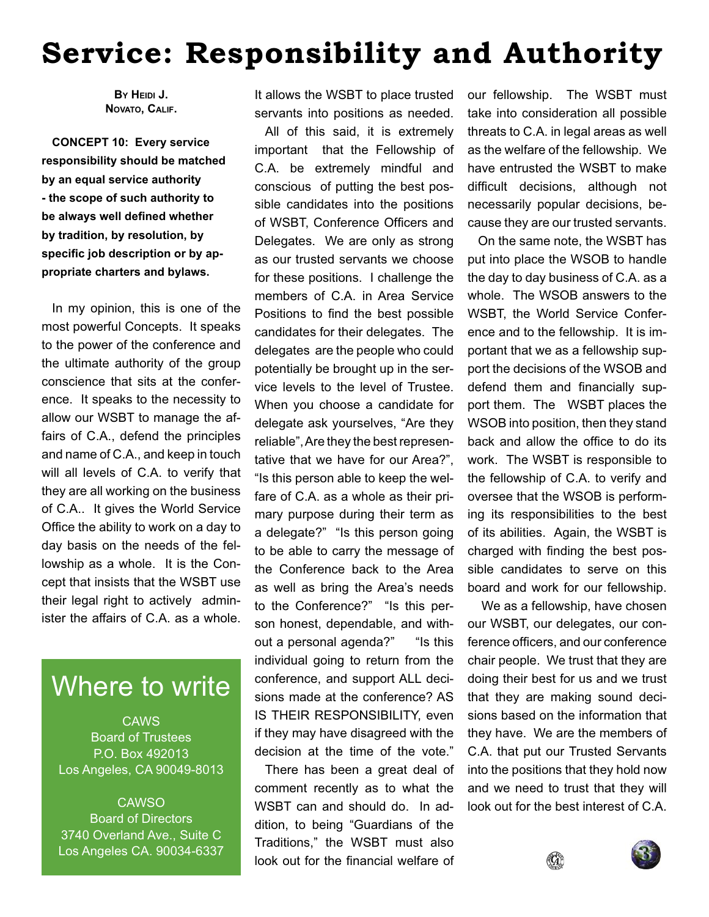### **Service: Responsibility and Authority**

**BY HEIDI J. NOVATO, CALIF.**

**CONCEPT 10: Every service responsibility should be matched by an equal service authority - the scope of such authority to be always well defined whether by tradition, by resolution, by**  specific job description or by ap**propriate charters and bylaws.**

In my opinion, this is one of the most powerful Concepts. It speaks to the power of the conference and the ultimate authority of the group conscience that sits at the conference. It speaks to the necessity to allow our WSBT to manage the affairs of C.A., defend the principles and name of C.A., and keep in touch will all levels of C.A. to verify that they are all working on the business of C.A.. It gives the World Service Office the ability to work on a day to day basis on the needs of the fellowship as a whole. It is the Concept that insists that the WSBT use their legal right to actively administer the affairs of C.A. as a whole.

### Where to write

**CAWS** Board of Trustees P.O. Box 492013 Los Angeles, CA 90049-8013

**CAWSO** Board of Directors 3740 Overland Ave., Suite C Los Angeles CA. 90034-6337 It allows the WSBT to place trusted servants into positions as needed.

All of this said, it is extremely important that the Fellowship of C.A. be extremely mindful and conscious of putting the best possible candidates into the positions of WSBT, Conference Officers and Delegates. We are only as strong as our trusted servants we choose for these positions. I challenge the members of C.A. in Area Service Positions to find the best possible candidates for their delegates. The delegates are the people who could potentially be brought up in the service levels to the level of Trustee. When you choose a candidate for delegate ask yourselves, "Are they reliable", Are they the best representative that we have for our Area?", "Is this person able to keep the welfare of C.A. as a whole as their primary purpose during their term as a delegate?" "Is this person going to be able to carry the message of the Conference back to the Area as well as bring the Area's needs to the Conference?" "Is this person honest, dependable, and without a personal agenda?" "Is this individual going to return from the conference, and support ALL decisions made at the conference? AS IS THEIR RESPONSIBILITY, even if they may have disagreed with the decision at the time of the vote."

There has been a great deal of comment recently as to what the WSBT can and should do. In addition, to being "Guardians of the Traditions," the WSBT must also look out for the financial welfare of our fellowship. The WSBT must take into consideration all possible threats to C.A. in legal areas as well as the welfare of the fellowship. We have entrusted the WSBT to make difficult decisions, although not necessarily popular decisions, because they are our trusted servants.

On the same note, the WSBT has put into place the WSOB to handle the day to day business of C.A. as a whole. The WSOB answers to the WSBT, the World Service Conference and to the fellowship. It is important that we as a fellowship support the decisions of the WSOB and defend them and financially support them. The WSBT places the WSOB into position, then they stand back and allow the office to do its work. The WSBT is responsible to the fellowship of C.A. to verify and oversee that the WSOB is performing its responsibilities to the best of its abilities. Again, the WSBT is charged with finding the best possible candidates to serve on this board and work for our fellowship.

 We as a fellowship, have chosen our WSBT, our delegates, our conference officers, and our conference chair people. We trust that they are doing their best for us and we trust that they are making sound decisions based on the information that they have. We are the members of C.A. that put our Trusted Servants into the positions that they hold now and we need to trust that they will look out for the best interest of C.A.



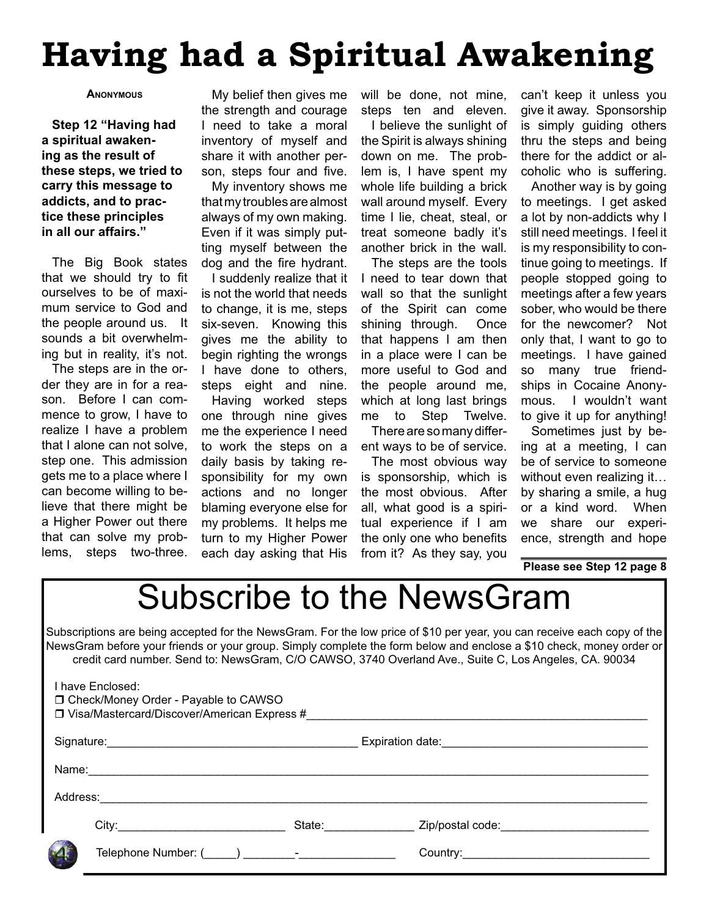### **Having had a Spiritual Awakening**

#### **ANONYMOUS**

**Step 12 "Having had a spiritual awakening as the result of these steps, we tried to carry this message to addicts, and to practice these principles in all our affairs."**

The Big Book states that we should try to fit ourselves to be of maximum service to God and the people around us. It sounds a bit overwhelming but in reality, it's not.

The steps are in the order they are in for a reason. Before I can commence to grow, I have to realize I have a problem that I alone can not solve, step one. This admission gets me to a place where I can become willing to believe that there might be a Higher Power out there that can solve my problems, steps two-three.

My belief then gives me the strength and courage I need to take a moral inventory of myself and share it with another person, steps four and five.

My inventory shows me that my troubles are almost always of my own making. Even if it was simply putting myself between the dog and the fire hydrant.

I suddenly realize that it is not the world that needs to change, it is me, steps six-seven. Knowing this gives me the ability to begin righting the wrongs I have done to others, steps eight and nine. Having worked steps one through nine gives me the experience I need to work the steps on a daily basis by taking responsibility for my own actions and no longer blaming everyone else for my problems. It helps me turn to my Higher Power each day asking that His

will be done, not mine, steps ten and eleven.

I believe the sunlight of the Spirit is always shining down on me. The problem is, I have spent my whole life building a brick wall around myself. Every time I lie, cheat, steal, or treat someone badly it's another brick in the wall.

The steps are the tools I need to tear down that wall so that the sunlight of the Spirit can come shining through. Once that happens I am then in a place were I can be more useful to God and the people around me, which at long last brings me to Step Twelve.

There are so many different ways to be of service.

The most obvious way is sponsorship, which is the most obvious. After all, what good is a spiritual experience if I am the only one who benefits from it? As they say, you

can't keep it unless you give it away. Sponsorship is simply guiding others thru the steps and being there for the addict or alcoholic who is suffering.

Another way is by going to meetings. I get asked a lot by non-addicts why I still need meetings. I feel it is my responsibility to continue going to meetings. If people stopped going to meetings after a few years sober, who would be there for the newcomer? Not only that, I want to go to meetings. I have gained so many true friendships in Cocaine Anonymous. I wouldn't want to give it up for anything!

Sometimes just by being at a meeting, I can be of service to someone without even realizing it… by sharing a smile, a hug or a kind word. When we share our experience, strength and hope

**Please see Step 12 page 8**

### Subscribe to the NewsGram

Subscriptions are being accepted for the NewsGram. For the low price of \$10 per year, you can receive each copy of the NewsGram before your friends or your group. Simply complete the form below and enclose a \$10 check, money order or credit card number. Send to: NewsGram, C/O CAWSO, 3740 Overland Ave., Suite C, Los Angeles, CA. 90034

| I have Enclosed:<br>□ Check/Money Order - Payable to CAWSO<br>□ Visa/Mastercard/Discover/American Express # |             |                                                                                                                                                                                                                                |                                                                                                                |  |
|-------------------------------------------------------------------------------------------------------------|-------------|--------------------------------------------------------------------------------------------------------------------------------------------------------------------------------------------------------------------------------|----------------------------------------------------------------------------------------------------------------|--|
|                                                                                                             |             |                                                                                                                                                                                                                                |                                                                                                                |  |
|                                                                                                             |             |                                                                                                                                                                                                                                |                                                                                                                |  |
| Address:                                                                                                    |             |                                                                                                                                                                                                                                |                                                                                                                |  |
|                                                                                                             | City: City: | State: and the state of the state of the state of the state of the state of the state of the state of the state of the state of the state of the state of the state of the state of the state of the state of the state of the | Zip/postal code: Note that the state of the state of the state of the state of the state of the state of the s |  |
|                                                                                                             |             |                                                                                                                                                                                                                                |                                                                                                                |  |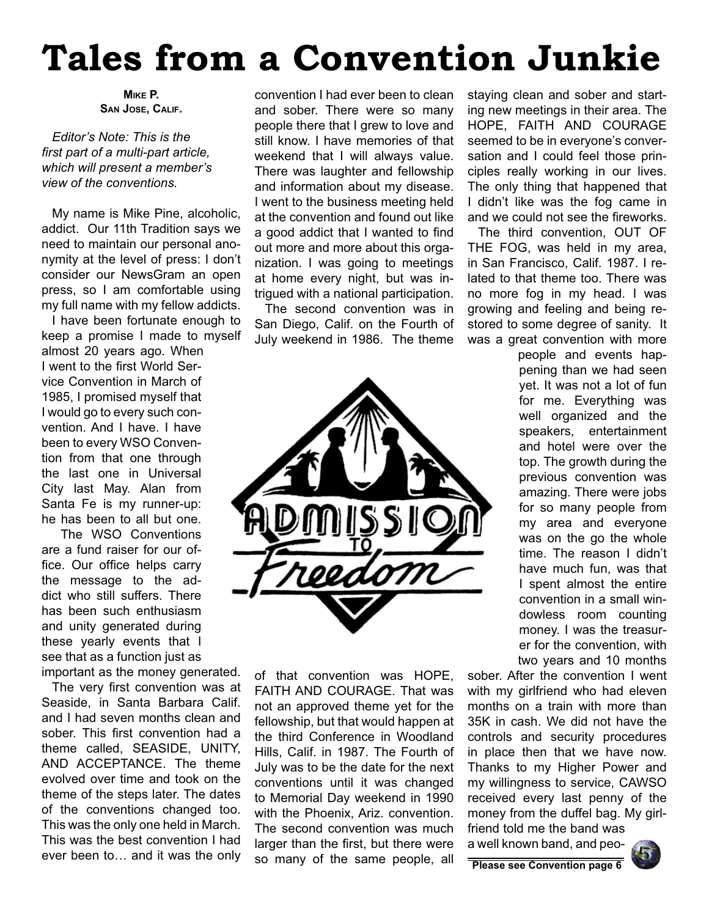# **Tales from a Convention Junkie**

*Editor's Note: This is the*  first part of a multi-part article, *which will present a member's view of the conventions.*

My name is Mike Pine, alcoholic, addict. Our 11th Tradition says we need to maintain our personal anonymity at the level of press: I don't consider our NewsGram an open press, so I am comfortable using my full name with my fellow addicts.

I have been fortunate enough to keep a promise I made to myself almost 20 years ago. When I went to the first World Service Convention in March of 1985, I promised myself that I would go to every such convention. And I have. I have been to every WSO Convention from that one through the last one in Universal City last May. Alan from Santa Fe is my runner-up: he has been to all but one.

 The WSO Conventions are a fund raiser for our office. Our office helps carry the message to the addict who still suffers. There has been such enthusiasm and unity generated during these yearly events that I see that as a function just as important as the money generated.

The very first convention was at Seaside, in Santa Barbara Calif. and I had seven months clean and sober. This first convention had a theme called, SEASIDE, UNITY, AND ACCEPTANCE. The theme evolved over time and took on the theme of the steps later. The dates of the conventions changed too. This was the only one held in March. This was the best convention I had ever been to… and it was the only

convention I had ever been to clean and sober. There were so many people there that I grew to love and still know. I have memories of that weekend that I will always value. There was laughter and fellowship and information about my disease. I went to the business meeting held at the convention and found out like a good addict that I wanted to find out more and more about this organization. I was going to meetings at home every night, but was intrigued with a national participation.

The second convention was in San Diego, Calif. on the Fourth of July weekend in 1986. The theme



of that convention was HOPE, FAITH AND COURAGE. That was not an approved theme yet for the fellowship, but that would happen at the third Conference in Woodland Hills, Calif. in 1987. The Fourth of July was to be the date for the next conventions until it was changed to Memorial Day weekend in 1990 with the Phoenix, Ariz. convention. The second convention was much larger than the first, but there were so many of the same people, all staying clean and sober and starting new meetings in their area. The HOPE, FAITH AND COURAGE seemed to be in everyone's conversation and I could feel those principles really working in our lives. The only thing that happened that I didn't like was the fog came in and we could not see the fireworks.

The third convention, OUT OF THE FOG, was held in my area, in San Francisco, Calif. 1987. I related to that theme too. There was no more fog in my head. I was growing and feeling and being restored to some degree of sanity. It was a great convention with more

> people and events happening than we had seen yet. It was not a lot of fun for me. Everything was well organized and the speakers, entertainment and hotel were over the top. The growth during the previous convention was amazing. There were jobs for so many people from my area and everyone was on the go the whole time. The reason I didn't have much fun, was that I spent almost the entire convention in a small windowless room counting money. I was the treasurer for the convention, with two years and 10 months

sober. After the convention I went with my girlfriend who had eleven months on a train with more than 35K in cash. We did not have the controls and security procedures in place then that we have now. Thanks to my Higher Power and my willingness to service, CAWSO received every last penny of the money from the duffel bag. My girlfriend told me the band was

a well known band, and peo-



**Please see Convention page 6**

**MIKE P. SAN JOSE, CALIF.**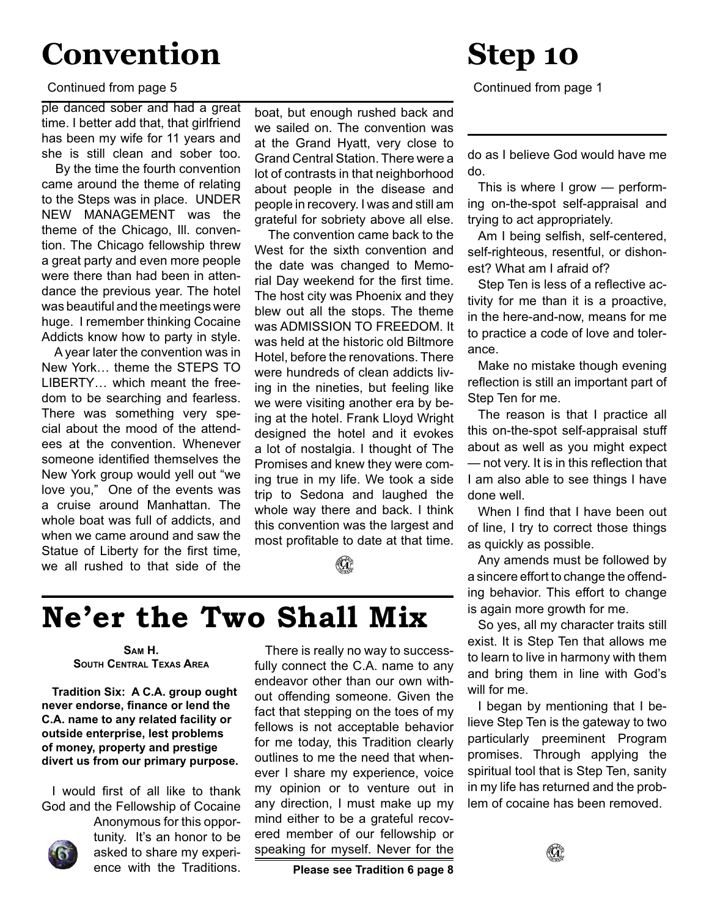### **Convention**

#### Continued from page 5

ple danced sober and had a great time. I better add that, that girlfriend has been my wife for 11 years and she is still clean and sober too.

 By the time the fourth convention came around the theme of relating to the Steps was in place. UNDER NEW MANAGEMENT was the theme of the Chicago, Ill. convention. The Chicago fellowship threw a great party and even more people were there than had been in attendance the previous year. The hotel was beautiful and the meetings were huge. I remember thinking Cocaine Addicts know how to party in style.

 A year later the convention was in New York… theme the STEPS TO LIBERTY… which meant the freedom to be searching and fearless. There was something very special about the mood of the attendees at the convention. Whenever someone identified themselves the New York group would yell out "we love you," One of the events was a cruise around Manhattan. The whole boat was full of addicts, and when we came around and saw the Statue of Liberty for the first time, we all rushed to that side of the

boat, but enough rushed back and we sailed on. The convention was at the Grand Hyatt, very close to Grand Central Station. There were a lot of contrasts in that neighborhood about people in the disease and people in recovery. I was and still am grateful for sobriety above all else.

 The convention came back to the West for the sixth convention and the date was changed to Memorial Day weekend for the first time. The host city was Phoenix and they blew out all the stops. The theme was ADMISSION TO FREEDOM. It was held at the historic old Biltmore Hotel, before the renovations. There were hundreds of clean addicts living in the nineties, but feeling like we were visiting another era by being at the hotel. Frank Lloyd Wright designed the hotel and it evokes a lot of nostalgia. I thought of The Promises and knew they were coming true in my life. We took a side trip to Sedona and laughed the whole way there and back. I think this convention was the largest and most profitable to date at that time.



There is really no way to success-

### **Ne'er the Two Shall Mix**

**SAM H. SOUTH CENTRAL TEXAS AREA**

**Tradition Six: A C.A. group ought never endorse, finance or lend the C.A. name to any related facility or outside enterprise, lest problems of money, property and prestige divert us from our primary purpose.**

I would first of all like to thank God and the Fellowship of Cocaine



Anonymous for this opportunity. It's an honor to be asked to share my experience with the Traditions.

fully connect the C.A. name to any endeavor other than our own without offending someone. Given the fact that stepping on the toes of my fellows is not acceptable behavior for me today, this Tradition clearly outlines to me the need that whenever I share my experience, voice my opinion or to venture out in any direction, I must make up my mind either to be a grateful recovered member of our fellowship or speaking for myself. Never for the

**Please see Tradition 6 page 8**

### **Step 10**

Continued from page 1

do as I believe God would have me do.

This is where I grow — performing on-the-spot self-appraisal and trying to act appropriately.

Am I being selfish, self-centered, self-righteous, resentful, or dishonest? What am I afraid of?

Step Ten is less of a reflective activity for me than it is a proactive, in the here-and-now, means for me to practice a code of love and tolerance.

Make no mistake though evening reflection is still an important part of Step Ten for me.

The reason is that I practice all this on-the-spot self-appraisal stuff about as well as you might expect — not very. It is in this reflection that I am also able to see things I have done well.

When I find that I have been out of line, I try to correct those things as quickly as possible.

Any amends must be followed by a sincere effort to change the offending behavior. This effort to change is again more growth for me.

So yes, all my character traits still exist. It is Step Ten that allows me to learn to live in harmony with them and bring them in line with God's will for me.

I began by mentioning that I believe Step Ten is the gateway to two particularly preeminent Program promises. Through applying the spiritual tool that is Step Ten, sanity in my life has returned and the problem of cocaine has been removed.

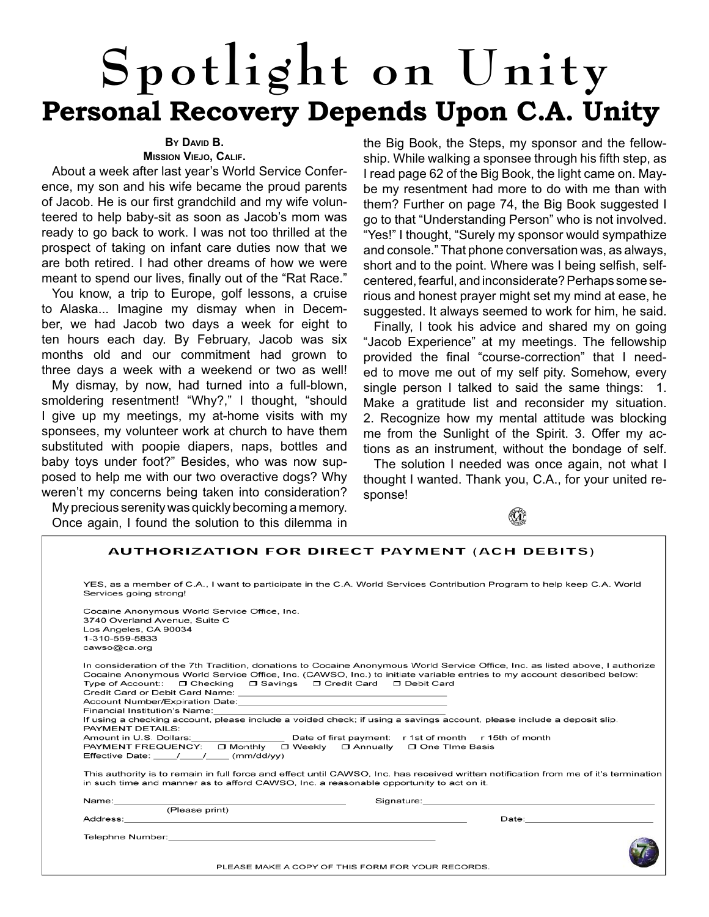# **Spotlight on Unity Personal Recovery Depends Upon C.A. Unity**

### **BY DAVID B.**

#### **MISSION VIEJO, CALIF.**

About a week after last year's World Service Conference, my son and his wife became the proud parents of Jacob. He is our first grandchild and my wife volunteered to help baby-sit as soon as Jacob's mom was ready to go back to work. I was not too thrilled at the prospect of taking on infant care duties now that we are both retired. I had other dreams of how we were meant to spend our lives, finally out of the "Rat Race."

You know, a trip to Europe, golf lessons, a cruise to Alaska... Imagine my dismay when in December, we had Jacob two days a week for eight to ten hours each day. By February, Jacob was six months old and our commitment had grown to three days a week with a weekend or two as well!

My dismay, by now, had turned into a full-blown, smoldering resentment! "Why?," I thought, "should I give up my meetings, my at-home visits with my sponsees, my volunteer work at church to have them substituted with poopie diapers, naps, bottles and baby toys under foot?" Besides, who was now supposed to help me with our two overactive dogs? Why weren't my concerns being taken into consideration?

My precious serenity was quickly becoming a memory. Once again, I found the solution to this dilemma in the Big Book, the Steps, my sponsor and the fellowship. While walking a sponsee through his fifth step, as I read page 62 of the Big Book, the light came on. Maybe my resentment had more to do with me than with them? Further on page 74, the Big Book suggested I go to that "Understanding Person" who is not involved. "Yes!" I thought, "Surely my sponsor would sympathize and console." That phone conversation was, as always, short and to the point. Where was I being selfish, selfcentered, fearful, and inconsiderate? Perhaps some serious and honest prayer might set my mind at ease, he suggested. It always seemed to work for him, he said.

Finally, I took his advice and shared my on going "Jacob Experience" at my meetings. The fellowship provided the final "course-correction" that I needed to move me out of my self pity. Somehow, every single person I talked to said the same things: 1. Make a gratitude list and reconsider my situation. 2. Recognize how my mental attitude was blocking me from the Sunlight of the Spirit. 3. Offer my actions as an instrument, without the bondage of self.

The solution I needed was once again, not what I thought I wanted. Thank you, C.A., for your united response!



| <b>AUTHORIZATION FOR DIRECT PAYMENT (ACH DEBITS)</b>                                                                                                                                                                                                                                                                                                                                                                                                                               |  |
|------------------------------------------------------------------------------------------------------------------------------------------------------------------------------------------------------------------------------------------------------------------------------------------------------------------------------------------------------------------------------------------------------------------------------------------------------------------------------------|--|
| YES, as a member of C.A., I want to participate in the C.A. World Services Contribution Program to help keep C.A. World<br>Services going strong!                                                                                                                                                                                                                                                                                                                                  |  |
| Cocaine Anonymous World Service Office, Inc.<br>3740 Overland Avenue, Suite C<br>Los Angeles, CA 90034<br>1-310-559-5833<br>cawso@ca.org                                                                                                                                                                                                                                                                                                                                           |  |
| In consideration of the 7th Tradition, donations to Cocaine Anonymous World Service Office, Inc. as listed above, I authorize<br>Cocaine Anonymous World Service Office, Inc. (CAWSO, Inc.) to initiate variable entries to my account described below:<br>Type of Account:: $\Box$ Checking $\Box$ Savings $\Box$ Credit Card $\Box$ Debit Card                                                                                                                                   |  |
| Financial Institution's Name:<br>If using a checking account, please include a voided check; if using a savings account, please include a deposit slip.                                                                                                                                                                                                                                                                                                                            |  |
| PAYMENT DETAILS:<br>Amount in U.S. Dollars: Date of first payment: r 1st of month r 15th of month<br>PAYMENT FREQUENCY: □ Monthly □ Weekly □ Annually □ One Time Basis<br>Effective Date: / / / (mm/dd/yy)                                                                                                                                                                                                                                                                         |  |
| This authority is to remain in full force and effect until CAWSO, Inc. has received written notification from me of it's termination<br>in such time and manner as to afford CAWSO, Inc. a reasonable opportunity to act on it.                                                                                                                                                                                                                                                    |  |
| Signature: the contract of the contract of the contract of the contract of the contract of the contract of the contract of the contract of the contract of the contract of the contract of the contract of the contract of the<br>Name:_________                                                                                                                                                                                                                                   |  |
| (Please print)<br>Address: No. 2006. The Contract of the Contract of the Contract of the Contract of the Contract of the Contract of the Contract of the Contract of the Contract of the Contract of the Contract of the Contract of the Contrac<br>Date: the contract of the contract of the contract of the contract of the contract of the contract of the contract of the contract of the contract of the contract of the contract of the contract of the contract of the cont |  |
| PLEASE MAKE A COPY OF THIS FORM FOR YOUR RECORDS.                                                                                                                                                                                                                                                                                                                                                                                                                                  |  |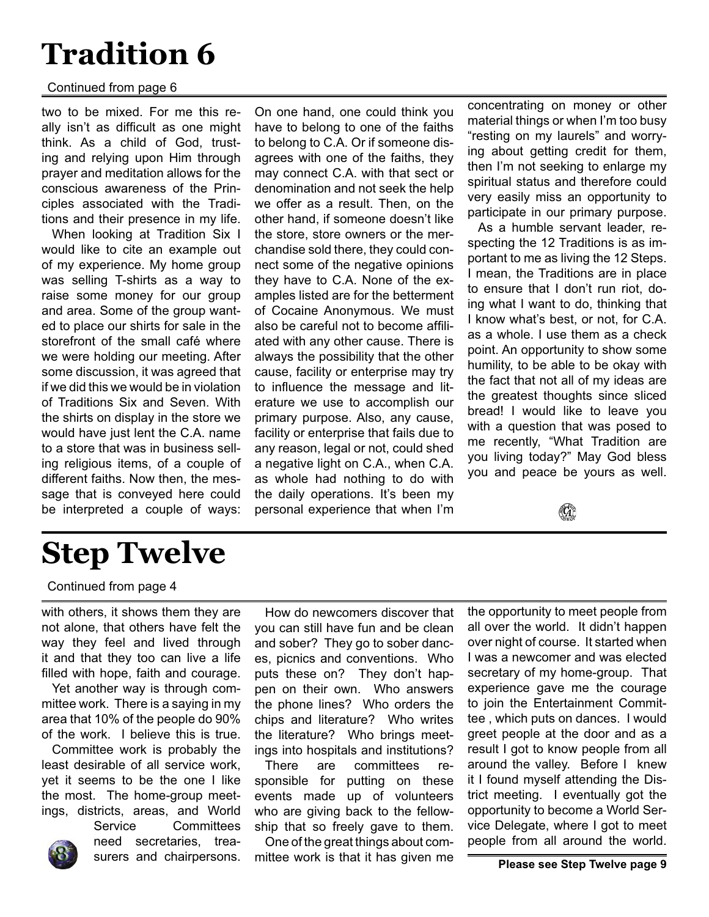### **Tradition 6**

#### Continued from page 6

two to be mixed. For me this really isn't as difficult as one might think. As a child of God, trusting and relying upon Him through prayer and meditation allows for the conscious awareness of the Principles associated with the Traditions and their presence in my life.

When looking at Tradition Six I would like to cite an example out of my experience. My home group was selling T-shirts as a way to raise some money for our group and area. Some of the group wanted to place our shirts for sale in the storefront of the small café where we were holding our meeting. After some discussion, it was agreed that if we did this we would be in violation of Traditions Six and Seven. With the shirts on display in the store we would have just lent the C.A. name to a store that was in business selling religious items, of a couple of different faiths. Now then, the message that is conveyed here could be interpreted a couple of ways:

On one hand, one could think you have to belong to one of the faiths to belong to C.A. Or if someone disagrees with one of the faiths, they may connect C.A. with that sect or denomination and not seek the help we offer as a result. Then, on the other hand, if someone doesn't like the store, store owners or the merchandise sold there, they could connect some of the negative opinions they have to C.A. None of the examples listed are for the betterment of Cocaine Anonymous. We must also be careful not to become affiliated with any other cause. There is always the possibility that the other cause, facility or enterprise may try to influence the message and literature we use to accomplish our primary purpose. Also, any cause, facility or enterprise that fails due to any reason, legal or not, could shed a negative light on C.A., when C.A. as whole had nothing to do with the daily operations. It's been my personal experience that when I'm concentrating on money or other material things or when I'm too busy "resting on my laurels" and worrying about getting credit for them, then I'm not seeking to enlarge my spiritual status and therefore could very easily miss an opportunity to participate in our primary purpose.

As a humble servant leader, respecting the 12 Traditions is as important to me as living the 12 Steps. I mean, the Traditions are in place to ensure that I don't run riot, doing what I want to do, thinking that I know what's best, or not, for C.A. as a whole. I use them as a check point. An opportunity to show some humility, to be able to be okay with the fact that not all of my ideas are the greatest thoughts since sliced bread! I would like to leave you with a question that was posed to me recently, "What Tradition are you living today?" May God bless you and peace be yours as well.

 $(\mathbf{G})$ 

### **Step Twelve**

Continued from page 4

with others, it shows them they are not alone, that others have felt the way they feel and lived through it and that they too can live a life filled with hope, faith and courage.

Yet another way is through committee work. There is a saying in my area that 10% of the people do 90% of the work. I believe this is true.

Committee work is probably the least desirable of all service work, yet it seems to be the one I like the most. The home-group meetings, districts, areas, and World

Service Committees need secretaries, trea-

How do newcomers discover that you can still have fun and be clean and sober? They go to sober dances, picnics and conventions. Who puts these on? They don't happen on their own. Who answers the phone lines? Who orders the chips and literature? Who writes the literature? Who brings meetings into hospitals and institutions?

There are committees responsible for putting on these events made up of volunteers who are giving back to the fellowship that so freely gave to them.

surers and chairpersons. mittee work is that it has given me **Please see Step Twelve page 9** One of the great things about com-

the opportunity to meet people from all over the world. It didn't happen over night of course. It started when I was a newcomer and was elected secretary of my home-group. That experience gave me the courage to join the Entertainment Committee , which puts on dances. I would greet people at the door and as a result I got to know people from all around the valley. Before I knew it I found myself attending the District meeting. I eventually got the opportunity to become a World Service Delegate, where I got to meet people from all around the world.

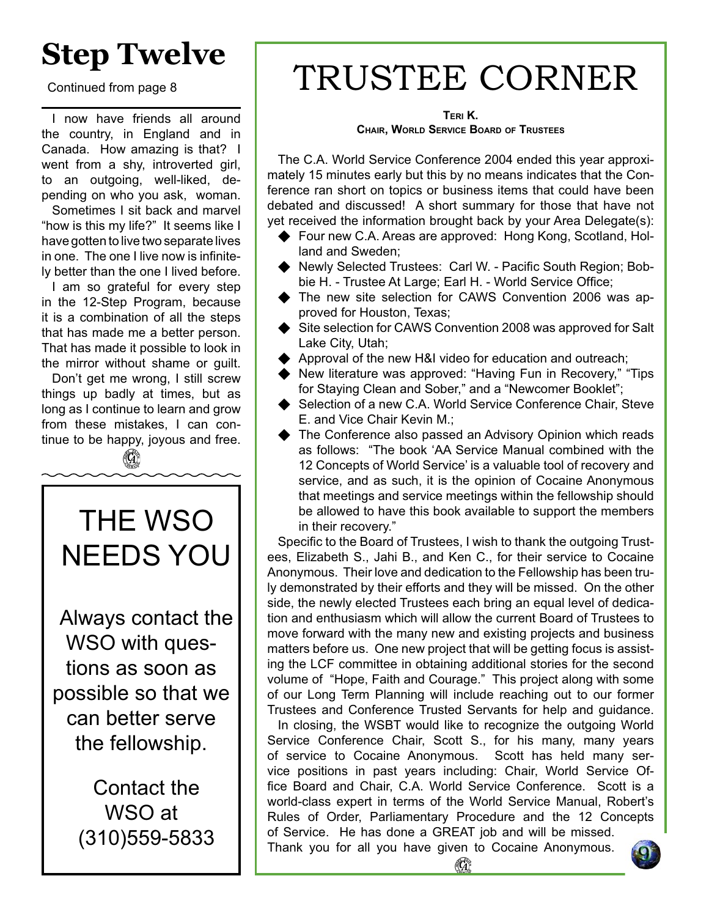### **Step Twelve**

Continued from page 8

I now have friends all around the country, in England and in Canada. How amazing is that? I went from a shy, introverted girl, to an outgoing, well-liked, depending on who you ask, woman.

Sometimes I sit back and marvel "how is this my life?" It seems like I have gotten to live two separate lives in one. The one I live now is infinitely better than the one I lived before.

I am so grateful for every step in the 12-Step Program, because it is a combination of all the steps that has made me a better person. That has made it possible to look in the mirror without shame or guilt.

Don't get me wrong, I still screw things up badly at times, but as long as I continue to learn and grow from these mistakes, I can continue to be happy, joyous and free.

(G)

### THE WSO NEEDS YOU

Always contact the WSO with questions as soon as possible so that we can better serve the fellowship.

> Contact the WSO at (310)559-5833

## TRUSTEE CORNER

#### **TERI K. CHAIR, WORLD SERVICE BOARD OF TRUSTEES**

The C.A. World Service Conference 2004 ended this year approximately 15 minutes early but this by no means indicates that the Conference ran short on topics or business items that could have been debated and discussed! A short summary for those that have not yet received the information brought back by your Area Delegate(s):

- Four new C.A. Areas are approved: Hong Kong, Scotland, Holland and Sweden;
- Newly Selected Trustees: Carl W. Pacific South Region; Bobbie H. - Trustee At Large; Earl H. - World Service Office;
- ◆ The new site selection for CAWS Convention 2006 was approved for Houston, Texas;
- Site selection for CAWS Convention 2008 was approved for Salt Lake City, Utah;
- ◆ Approval of the new H&I video for education and outreach;
- New literature was approved: "Having Fun in Recovery," "Tips" for Staying Clean and Sober," and a "Newcomer Booklet";
- Selection of a new C.A. World Service Conference Chair, Steve E. and Vice Chair Kevin M.;
- The Conference also passed an Advisory Opinion which reads as follows: "The book 'AA Service Manual combined with the 12 Concepts of World Service' is a valuable tool of recovery and service, and as such, it is the opinion of Cocaine Anonymous that meetings and service meetings within the fellowship should be allowed to have this book available to support the members in their recovery."

Specific to the Board of Trustees, I wish to thank the outgoing Trustees, Elizabeth S., Jahi B., and Ken C., for their service to Cocaine Anonymous. Their love and dedication to the Fellowship has been truly demonstrated by their efforts and they will be missed. On the other side, the newly elected Trustees each bring an equal level of dedication and enthusiasm which will allow the current Board of Trustees to move forward with the many new and existing projects and business matters before us. One new project that will be getting focus is assisting the LCF committee in obtaining additional stories for the second volume of "Hope, Faith and Courage." This project along with some of our Long Term Planning will include reaching out to our former Trustees and Conference Trusted Servants for help and guidance.

In closing, the WSBT would like to recognize the outgoing World Service Conference Chair, Scott S., for his many, many years of service to Cocaine Anonymous. Scott has held many service positions in past years including: Chair, World Service Office Board and Chair, C.A. World Service Conference. Scott is a world-class expert in terms of the World Service Manual, Robert's Rules of Order, Parliamentary Procedure and the 12 Concepts of Service. He has done a GREAT job and will be missed.

Thank you for all you have given to Cocaine Anonymous.

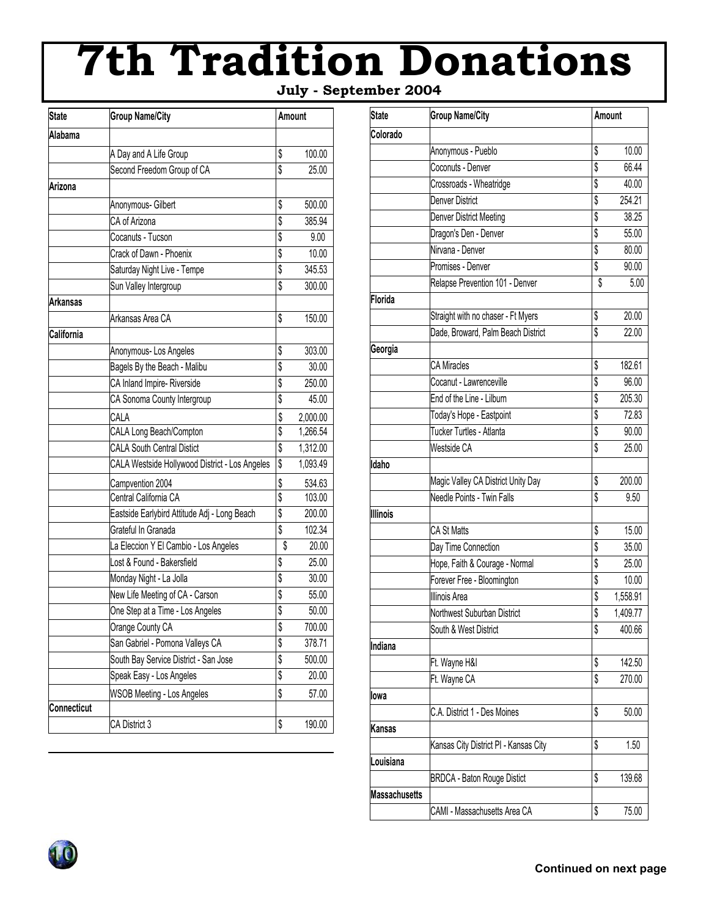# **7th Tradition Donations**

 **July - September 2004**

| <b>State</b>    | <b>Group Name/City</b>                         |    | Amount   |  |
|-----------------|------------------------------------------------|----|----------|--|
| Alabama         |                                                |    |          |  |
|                 | A Day and A Life Group                         | \$ | 100.00   |  |
|                 | Second Freedom Group of CA                     | \$ | 25.00    |  |
| Arizona         |                                                |    |          |  |
|                 | Anonymous- Gilbert                             | \$ | 500.00   |  |
|                 | CA of Arizona                                  | \$ | 385.94   |  |
|                 | Cocanuts - Tucson                              | \$ | 9.00     |  |
|                 | Crack of Dawn - Phoenix                        | \$ | 10.00    |  |
|                 | Saturday Night Live - Tempe                    | \$ | 345.53   |  |
|                 | Sun Valley Intergroup                          | \$ | 300.00   |  |
| <b>Arkansas</b> |                                                |    |          |  |
|                 | Arkansas Area CA                               | \$ | 150.00   |  |
| California      |                                                |    |          |  |
|                 | Anonymous-Los Angeles                          | \$ | 303.00   |  |
|                 | Bagels By the Beach - Malibu                   | \$ | 30.00    |  |
|                 | CA Inland Impire- Riverside                    | \$ | 250.00   |  |
|                 | CA Sonoma County Intergroup                    | \$ | 45.00    |  |
|                 | CALA                                           | \$ | 2,000.00 |  |
|                 | CALA Long Beach/Compton                        | \$ | 1,266.54 |  |
|                 | <b>CALA South Central Distict</b>              | \$ | 1,312.00 |  |
|                 | CALA Westside Hollywood District - Los Angeles | \$ | 1,093.49 |  |
|                 | Campvention 2004                               | \$ | 534.63   |  |
|                 | Central California CA                          | \$ | 103.00   |  |
|                 | Eastside Earlybird Attitude Adj - Long Beach   | \$ | 200.00   |  |
|                 | Grateful In Granada                            | \$ | 102.34   |  |
|                 | La Eleccion Y El Cambio - Los Angeles          | \$ | 20.00    |  |
|                 | Lost & Found - Bakersfield                     | \$ | 25.00    |  |
|                 | Monday Night - La Jolla                        | \$ | 30.00    |  |
|                 | New Life Meeting of CA - Carson                | \$ | 55.00    |  |
|                 | One Step at a Time - Los Angeles               | \$ | 50.00    |  |
|                 | Orange County CA                               | \$ | 700.00   |  |
|                 | San Gabriel - Pomona Valleys CA                | \$ | 378.71   |  |
|                 | South Bay Service District - San Jose          | \$ | 500.00   |  |
|                 | Speak Easy - Los Angeles                       | \$ | 20.00    |  |
|                 | <b>WSOB Meeting - Los Angeles</b>              | \$ | 57.00    |  |
| Connecticut     |                                                |    |          |  |
|                 | CA District 3                                  | \$ | 190.00   |  |
|                 |                                                |    |          |  |

| <b>State</b>         | <b>Group Name/City</b>                | Amount         |  |  |
|----------------------|---------------------------------------|----------------|--|--|
| Colorado             |                                       |                |  |  |
|                      | Anonymous - Pueblo                    | \$<br>10.00    |  |  |
|                      | Coconuts - Denver                     | \$<br>66.44    |  |  |
|                      | Crossroads - Wheatridge               | \$<br>40.00    |  |  |
|                      | <b>Denver District</b>                | \$<br>254.21   |  |  |
|                      | Denver District Meeting               | \$<br>38.25    |  |  |
|                      | Dragon's Den - Denver                 | \$<br>55.00    |  |  |
|                      | Nirvana - Denver                      | \$<br>80.00    |  |  |
|                      | Promises - Denver                     | \$<br>90.00    |  |  |
|                      | Relapse Prevention 101 - Denver       | \$<br>5.00     |  |  |
| Florida              |                                       |                |  |  |
|                      | Straight with no chaser - Ft Myers    | \$<br>20.00    |  |  |
|                      | Dade, Broward, Palm Beach District    | \$<br>22.00    |  |  |
| Georgia              |                                       |                |  |  |
|                      | <b>CA Miracles</b>                    | \$<br>182.61   |  |  |
|                      | Cocanut - Lawrenceville               | \$<br>96.00    |  |  |
|                      | End of the Line - Lilburn             | \$<br>205.30   |  |  |
|                      | Today's Hope - Eastpoint              | \$<br>72.83    |  |  |
|                      | Tucker Turtles - Atlanta              | \$<br>90.00    |  |  |
|                      | Westside CA                           | \$<br>25.00    |  |  |
| Idaho                |                                       |                |  |  |
|                      | Magic Valley CA District Unity Day    | \$<br>200.00   |  |  |
|                      | Needle Points - Twin Falls            | \$<br>9.50     |  |  |
| Illinois             |                                       |                |  |  |
|                      | CA St Matts                           | \$<br>15.00    |  |  |
|                      | Day Time Connection                   | \$<br>35.00    |  |  |
|                      | Hope, Faith & Courage - Normal        | \$<br>25.00    |  |  |
|                      | Forever Free - Bloomington            | \$<br>10.00    |  |  |
|                      | Illinois Area                         | \$<br>1,558.91 |  |  |
|                      | Northwest Suburban District           | \$<br>1,409.77 |  |  |
|                      | South & West District                 | \$<br>400.66   |  |  |
| Indiana              |                                       |                |  |  |
|                      | Ft. Wayne H&I                         | \$<br>142.50   |  |  |
|                      | Ft. Wayne CA                          | \$<br>270.00   |  |  |
| lowa                 |                                       |                |  |  |
|                      | C.A. District 1 - Des Moines          | \$<br>50.00    |  |  |
| Kansas               |                                       |                |  |  |
|                      | Kansas City District PI - Kansas City | \$<br>1.50     |  |  |
| Louisiana            |                                       |                |  |  |
|                      |                                       | \$             |  |  |
|                      | <b>BRDCA - Baton Rouge Distict</b>    | 139.68         |  |  |
| <b>Massachusetts</b> |                                       |                |  |  |
|                      | CAMI - Massachusetts Area CA          | \$<br>75.00    |  |  |

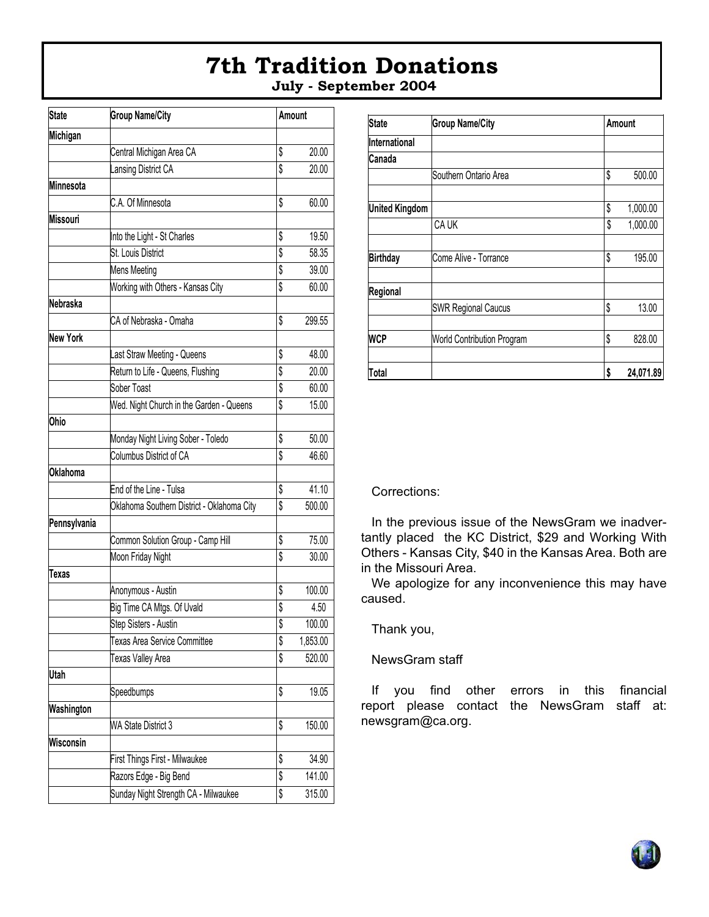### **7th Tradition Donations July - September 2004**

| <b>State</b>    | <b>Group Name/City</b>                     |    | Amount   |  |
|-----------------|--------------------------------------------|----|----------|--|
| Michigan        |                                            |    |          |  |
|                 | Central Michigan Area CA                   | \$ | 20.00    |  |
|                 | Lansing District CA                        | \$ | 20.00    |  |
| Minnesota       |                                            |    |          |  |
|                 | C.A. Of Minnesota                          | \$ | 60.00    |  |
| Missouri        |                                            |    |          |  |
|                 | Into the Light - St Charles                | \$ | 19.50    |  |
|                 | St. Louis District                         | \$ | 58.35    |  |
|                 | <b>Mens Meeting</b>                        | \$ | 39.00    |  |
|                 | Working with Others - Kansas City          | \$ | 60.00    |  |
| Nebraska        |                                            |    |          |  |
|                 | CA of Nebraska - Omaha                     | \$ | 299.55   |  |
| New York        |                                            |    |          |  |
|                 | Last Straw Meeting - Queens                | \$ | 48.00    |  |
|                 | Return to Life - Queens, Flushing          | \$ | 20.00    |  |
|                 | Sober Toast                                | \$ | 60.00    |  |
|                 | Wed. Night Church in the Garden - Queens   | \$ | 15.00    |  |
| Ohio            |                                            |    |          |  |
|                 | Monday Night Living Sober - Toledo         | \$ | 50.00    |  |
|                 | Columbus District of CA                    | \$ | 46.60    |  |
| <b>Oklahoma</b> |                                            |    |          |  |
|                 | End of the Line - Tulsa                    | \$ | 41.10    |  |
|                 | Oklahoma Southern District - Oklahoma City | \$ | 500.00   |  |
| Pennsylvania    |                                            |    |          |  |
|                 | Common Solution Group - Camp Hill          | \$ | 75.00    |  |
|                 | Moon Friday Night                          | \$ | 30.00    |  |
| Texas           |                                            |    |          |  |
|                 | Anonymous - Austin                         | \$ | 100.00   |  |
|                 | Big Time CA Mtgs. Of Uvald                 | \$ | 4.50     |  |
|                 | Step Sisters - Austin                      | \$ | 100.00   |  |
|                 | Texas Area Service Committee               | \$ | 1,853.00 |  |
|                 | Texas Valley Area                          | \$ | 520.00   |  |
| Utah            |                                            |    |          |  |
|                 | Speedbumps                                 | \$ | 19.05    |  |
| Washington      |                                            |    |          |  |
|                 | WA State District 3                        | \$ | 150.00   |  |
| Wisconsin       |                                            |    |          |  |
|                 | First Things First - Milwaukee             | \$ | 34.90    |  |
|                 | Razors Edge - Big Bend                     | \$ | 141.00   |  |
|                 | Sunday Night Strength CA - Milwaukee       | \$ | 315.00   |  |

| <b>State</b>          | <b>Group Name/City</b>     | Amount          |  |
|-----------------------|----------------------------|-----------------|--|
| International         |                            |                 |  |
| Canada                |                            |                 |  |
|                       | Southern Ontario Area      | \$<br>500.00    |  |
|                       |                            |                 |  |
| <b>United Kingdom</b> |                            | \$<br>1,000.00  |  |
|                       | CA UK                      | \$<br>1,000.00  |  |
|                       |                            |                 |  |
| <b>Birthday</b>       | Come Alive - Torrance      | \$<br>195.00    |  |
|                       |                            |                 |  |
| Regional              |                            |                 |  |
|                       | <b>SWR Regional Caucus</b> | \$<br>13.00     |  |
|                       |                            |                 |  |
| <b>WCP</b>            | World Contribution Program | \$<br>828.00    |  |
|                       |                            |                 |  |
| Total                 |                            | \$<br>24,071.89 |  |

Corrections:

In the previous issue of the NewsGram we inadvertantly placed the KC District, \$29 and Working With Others - Kansas City, \$40 in the Kansas Area. Both are in the Missouri Area.

We apologize for any inconvenience this may have caused.

Thank you,

NewsGram staff

If you find other errors in this financial report please contact the NewsGram staff at: newsgram@ca.org.